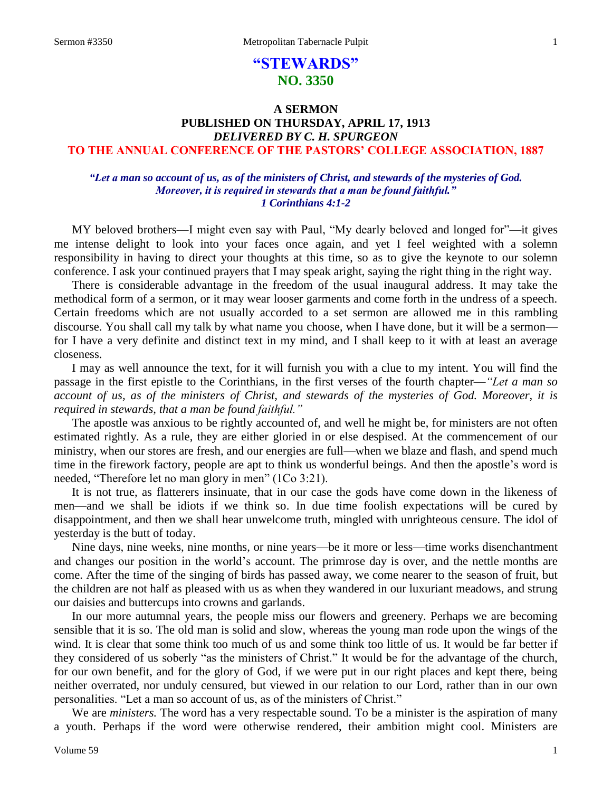# **"STEWARDS" NO. 3350**

# **A SERMON PUBLISHED ON THURSDAY, APRIL 17, 1913** *DELIVERED BY C. H. SPURGEON* **TO THE ANNUAL CONFERENCE OF THE PASTORS' COLLEGE ASSOCIATION, 1887**

# *"Let a man so account of us, as of the ministers of Christ, and stewards of the mysteries of God. Moreover, it is required in stewards that a man be found faithful." 1 Corinthians 4:1-2*

MY beloved brothers—I might even say with Paul, "My dearly beloved and longed for"—it gives me intense delight to look into your faces once again, and yet I feel weighted with a solemn responsibility in having to direct your thoughts at this time, so as to give the keynote to our solemn conference. I ask your continued prayers that I may speak aright, saying the right thing in the right way.

There is considerable advantage in the freedom of the usual inaugural address. It may take the methodical form of a sermon, or it may wear looser garments and come forth in the undress of a speech. Certain freedoms which are not usually accorded to a set sermon are allowed me in this rambling discourse. You shall call my talk by what name you choose, when I have done, but it will be a sermon for I have a very definite and distinct text in my mind, and I shall keep to it with at least an average closeness.

I may as well announce the text, for it will furnish you with a clue to my intent. You will find the passage in the first epistle to the Corinthians, in the first verses of the fourth chapter—*"Let a man so account of us, as of the ministers of Christ, and stewards of the mysteries of God. Moreover, it is required in stewards, that a man be found faithful."*

The apostle was anxious to be rightly accounted of, and well he might be, for ministers are not often estimated rightly. As a rule, they are either gloried in or else despised. At the commencement of our ministry, when our stores are fresh, and our energies are full—when we blaze and flash, and spend much time in the firework factory, people are apt to think us wonderful beings. And then the apostle's word is needed, "Therefore let no man glory in men" (1Co 3:21).

It is not true, as flatterers insinuate, that in our case the gods have come down in the likeness of men—and we shall be idiots if we think so. In due time foolish expectations will be cured by disappointment, and then we shall hear unwelcome truth, mingled with unrighteous censure. The idol of yesterday is the butt of today.

Nine days, nine weeks, nine months, or nine years—be it more or less—time works disenchantment and changes our position in the world's account. The primrose day is over, and the nettle months are come. After the time of the singing of birds has passed away, we come nearer to the season of fruit, but the children are not half as pleased with us as when they wandered in our luxuriant meadows, and strung our daisies and buttercups into crowns and garlands.

In our more autumnal years, the people miss our flowers and greenery. Perhaps we are becoming sensible that it is so. The old man is solid and slow, whereas the young man rode upon the wings of the wind. It is clear that some think too much of us and some think too little of us. It would be far better if they considered of us soberly "as the ministers of Christ." It would be for the advantage of the church, for our own benefit, and for the glory of God, if we were put in our right places and kept there, being neither overrated, nor unduly censured, but viewed in our relation to our Lord, rather than in our own personalities. "Let a man so account of us, as of the ministers of Christ."

We are *ministers.* The word has a very respectable sound. To be a minister is the aspiration of many a youth. Perhaps if the word were otherwise rendered, their ambition might cool. Ministers are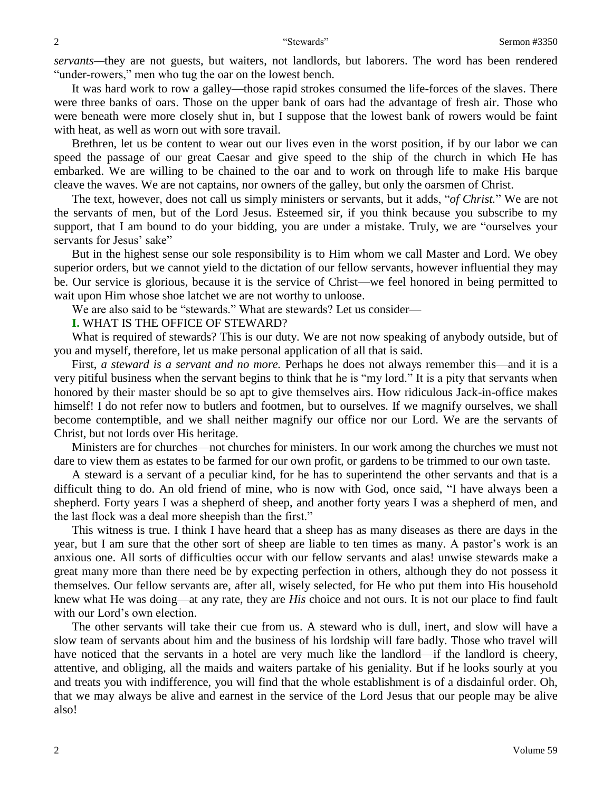*servants—*they are not guests, but waiters, not landlords, but laborers. The word has been rendered "under-rowers," men who tug the oar on the lowest bench.

It was hard work to row a galley—those rapid strokes consumed the life-forces of the slaves. There were three banks of oars. Those on the upper bank of oars had the advantage of fresh air. Those who were beneath were more closely shut in, but I suppose that the lowest bank of rowers would be faint with heat, as well as worn out with sore travail.

Brethren, let us be content to wear out our lives even in the worst position, if by our labor we can speed the passage of our great Caesar and give speed to the ship of the church in which He has embarked. We are willing to be chained to the oar and to work on through life to make His barque cleave the waves. We are not captains, nor owners of the galley, but only the oarsmen of Christ.

The text, however, does not call us simply ministers or servants, but it adds, "*of Christ.*" We are not the servants of men, but of the Lord Jesus. Esteemed sir, if you think because you subscribe to my support, that I am bound to do your bidding, you are under a mistake. Truly, we are "ourselves your servants for Jesus' sake"

But in the highest sense our sole responsibility is to Him whom we call Master and Lord. We obey superior orders, but we cannot yield to the dictation of our fellow servants, however influential they may be. Our service is glorious, because it is the service of Christ—we feel honored in being permitted to wait upon Him whose shoe latchet we are not worthy to unloose.

We are also said to be "stewards." What are stewards? Let us consider—

### **I.** WHAT IS THE OFFICE OF STEWARD?

What is required of stewards? This is our duty. We are not now speaking of anybody outside, but of you and myself, therefore, let us make personal application of all that is said.

First, *a steward is a servant and no more.* Perhaps he does not always remember this—and it is a very pitiful business when the servant begins to think that he is "my lord." It is a pity that servants when honored by their master should be so apt to give themselves airs. How ridiculous Jack-in-office makes himself! I do not refer now to butlers and footmen, but to ourselves. If we magnify ourselves, we shall become contemptible, and we shall neither magnify our office nor our Lord. We are the servants of Christ, but not lords over His heritage.

Ministers are for churches—not churches for ministers. In our work among the churches we must not dare to view them as estates to be farmed for our own profit, or gardens to be trimmed to our own taste.

A steward is a servant of a peculiar kind, for he has to superintend the other servants and that is a difficult thing to do. An old friend of mine, who is now with God, once said, "I have always been a shepherd. Forty years I was a shepherd of sheep, and another forty years I was a shepherd of men, and the last flock was a deal more sheepish than the first."

This witness is true. I think I have heard that a sheep has as many diseases as there are days in the year, but I am sure that the other sort of sheep are liable to ten times as many. A pastor's work is an anxious one. All sorts of difficulties occur with our fellow servants and alas! unwise stewards make a great many more than there need be by expecting perfection in others, although they do not possess it themselves. Our fellow servants are, after all, wisely selected, for He who put them into His household knew what He was doing—at any rate, they are *His* choice and not ours. It is not our place to find fault with our Lord's own election.

The other servants will take their cue from us. A steward who is dull, inert, and slow will have a slow team of servants about him and the business of his lordship will fare badly. Those who travel will have noticed that the servants in a hotel are very much like the landlord—if the landlord is cheery, attentive, and obliging, all the maids and waiters partake of his geniality. But if he looks sourly at you and treats you with indifference, you will find that the whole establishment is of a disdainful order. Oh, that we may always be alive and earnest in the service of the Lord Jesus that our people may be alive also!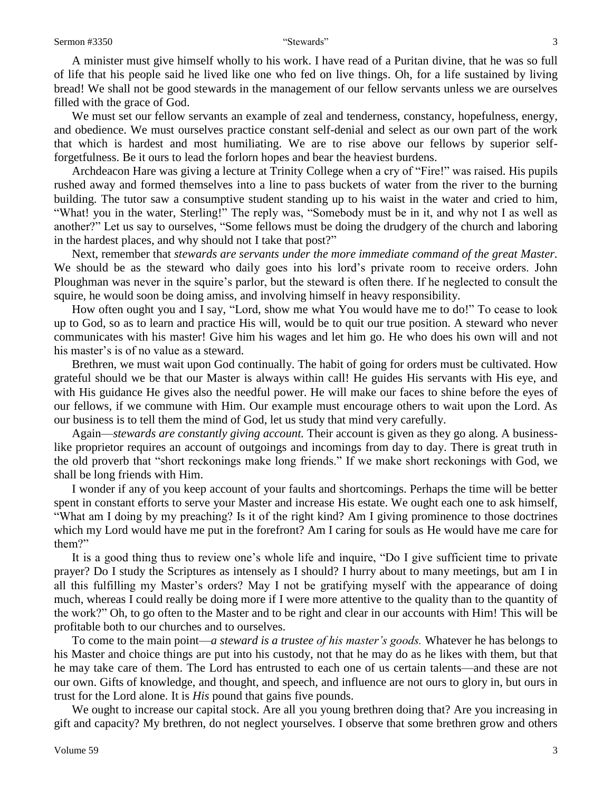A minister must give himself wholly to his work. I have read of a Puritan divine, that he was so full of life that his people said he lived like one who fed on live things. Oh, for a life sustained by living bread! We shall not be good stewards in the management of our fellow servants unless we are ourselves filled with the grace of God.

We must set our fellow servants an example of zeal and tenderness, constancy, hopefulness, energy, and obedience. We must ourselves practice constant self-denial and select as our own part of the work that which is hardest and most humiliating. We are to rise above our fellows by superior selfforgetfulness. Be it ours to lead the forlorn hopes and bear the heaviest burdens.

Archdeacon Hare was giving a lecture at Trinity College when a cry of "Fire!" was raised. His pupils rushed away and formed themselves into a line to pass buckets of water from the river to the burning building. The tutor saw a consumptive student standing up to his waist in the water and cried to him, "What! you in the water, Sterling!" The reply was, "Somebody must be in it, and why not I as well as another?" Let us say to ourselves, "Some fellows must be doing the drudgery of the church and laboring in the hardest places, and why should not I take that post?"

Next, remember that *stewards are servants under the more immediate command of the great Master.*  We should be as the steward who daily goes into his lord's private room to receive orders. John Ploughman was never in the squire's parlor, but the steward is often there. If he neglected to consult the squire, he would soon be doing amiss, and involving himself in heavy responsibility.

How often ought you and I say, "Lord*,* show me what You would have me to do!" To cease to look up to God, so as to learn and practice His will, would be to quit our true position. A steward who never communicates with his master! Give him his wages and let him go. He who does his own will and not his master's is of no value as a steward.

Brethren, we must wait upon God continually. The habit of going for orders must be cultivated. How grateful should we be that our Master is always within call! He guides His servants with His eye, and with His guidance He gives also the needful power. He will make our faces to shine before the eyes of our fellows, if we commune with Him. Our example must encourage others to wait upon the Lord. As our business is to tell them the mind of God, let us study that mind very carefully.

Again—*stewards are constantly giving account.* Their account is given as they go along. A businesslike proprietor requires an account of outgoings and incomings from day to day. There is great truth in the old proverb that "short reckonings make long friends." If we make short reckonings with God, we shall be long friends with Him.

I wonder if any of you keep account of your faults and shortcomings. Perhaps the time will be better spent in constant efforts to serve your Master and increase His estate. We ought each one to ask himself, "What am I doing by my preaching? Is it of the right kind? Am I giving prominence to those doctrines which my Lord would have me put in the forefront? Am I caring for souls as He would have me care for them?"

It is a good thing thus to review one's whole life and inquire, "Do I give sufficient time to private prayer? Do I study the Scriptures as intensely as I should? I hurry about to many meetings, but am I in all this fulfilling my Master's orders? May I not be gratifying myself with the appearance of doing much, whereas I could really be doing more if I were more attentive to the quality than to the quantity of the work?" Oh, to go often to the Master and to be right and clear in our accounts with Him! This will be profitable both to our churches and to ourselves.

To come to the main point—*a steward is a trustee of his master's goods.* Whatever he has belongs to his Master and choice things are put into his custody, not that he may do as he likes with them, but that he may take care of them. The Lord has entrusted to each one of us certain talents—and these are not our own. Gifts of knowledge, and thought, and speech, and influence are not ours to glory in, but ours in trust for the Lord alone. It is *His* pound that gains five pounds.

We ought to increase our capital stock. Are all you young brethren doing that? Are you increasing in gift and capacity? My brethren, do not neglect yourselves. I observe that some brethren grow and others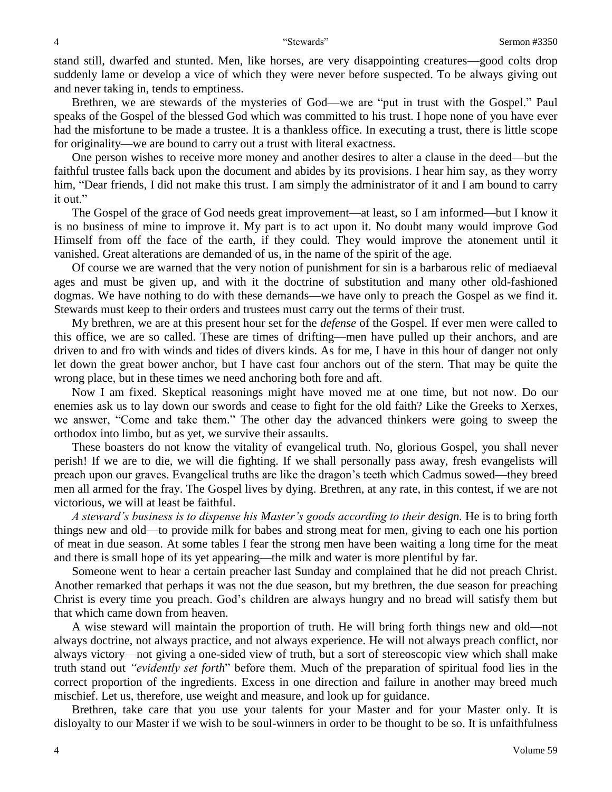stand still, dwarfed and stunted. Men, like horses, are very disappointing creatures—good colts drop suddenly lame or develop a vice of which they were never before suspected. To be always giving out and never taking in, tends to emptiness.

Brethren, we are stewards of the mysteries of God—we are "put in trust with the Gospel." Paul speaks of the Gospel of the blessed God which was committed to his trust. I hope none of you have ever had the misfortune to be made a trustee. It is a thankless office. In executing a trust, there is little scope for originality—we are bound to carry out a trust with literal exactness.

One person wishes to receive more money and another desires to alter a clause in the deed—but the faithful trustee falls back upon the document and abides by its provisions. I hear him say, as they worry him, "Dear friends, I did not make this trust. I am simply the administrator of it and I am bound to carry it out."

The Gospel of the grace of God needs great improvement—at least, so I am informed—but I know it is no business of mine to improve it. My part is to act upon it. No doubt many would improve God Himself from off the face of the earth, if they could. They would improve the atonement until it vanished. Great alterations are demanded of us, in the name of the spirit of the age.

Of course we are warned that the very notion of punishment for sin is a barbarous relic of mediaeval ages and must be given up, and with it the doctrine of substitution and many other old-fashioned dogmas. We have nothing to do with these demands—we have only to preach the Gospel as we find it. Stewards must keep to their orders and trustees must carry out the terms of their trust.

My brethren, we are at this present hour set for the *defense* of the Gospel. If ever men were called to this office, we are so called. These are times of drifting—men have pulled up their anchors, and are driven to and fro with winds and tides of divers kinds. As for me, I have in this hour of danger not only let down the great bower anchor, but I have cast four anchors out of the stern. That may be quite the wrong place, but in these times we need anchoring both fore and aft.

Now I am fixed. Skeptical reasonings might have moved me at one time, but not now. Do our enemies ask us to lay down our swords and cease to fight for the old faith? Like the Greeks to Xerxes, we answer, "Come and take them." The other day the advanced thinkers were going to sweep the orthodox into limbo, but as yet, we survive their assaults.

These boasters do not know the vitality of evangelical truth. No, glorious Gospel, you shall never perish! If we are to die, we will die fighting. If we shall personally pass away, fresh evangelists will preach upon our graves. Evangelical truths are like the dragon's teeth which Cadmus sowed—they breed men all armed for the fray. The Gospel lives by dying. Brethren, at any rate, in this contest, if we are not victorious, we will at least be faithful.

*A steward's business is to dispense his Master's goods according to their design.* He is to bring forth things new and old—to provide milk for babes and strong meat for men, giving to each one his portion of meat in due season. At some tables I fear the strong men have been waiting a long time for the meat and there is small hope of its yet appearing—the milk and water is more plentiful by far.

Someone went to hear a certain preacher last Sunday and complained that he did not preach Christ. Another remarked that perhaps it was not the due season, but my brethren, the due season for preaching Christ is every time you preach. God's children are always hungry and no bread will satisfy them but that which came down from heaven.

A wise steward will maintain the proportion of truth. He will bring forth things new and old—not always doctrine, not always practice, and not always experience. He will not always preach conflict, nor always victory—not giving a one-sided view of truth, but a sort of stereoscopic view which shall make truth stand out *"evidently set forth*" before them. Much of the preparation of spiritual food lies in the correct proportion of the ingredients. Excess in one direction and failure in another may breed much mischief. Let us, therefore, use weight and measure, and look up for guidance.

Brethren, take care that you use your talents for your Master and for your Master only. It is disloyalty to our Master if we wish to be soul-winners in order to be thought to be so. It is unfaithfulness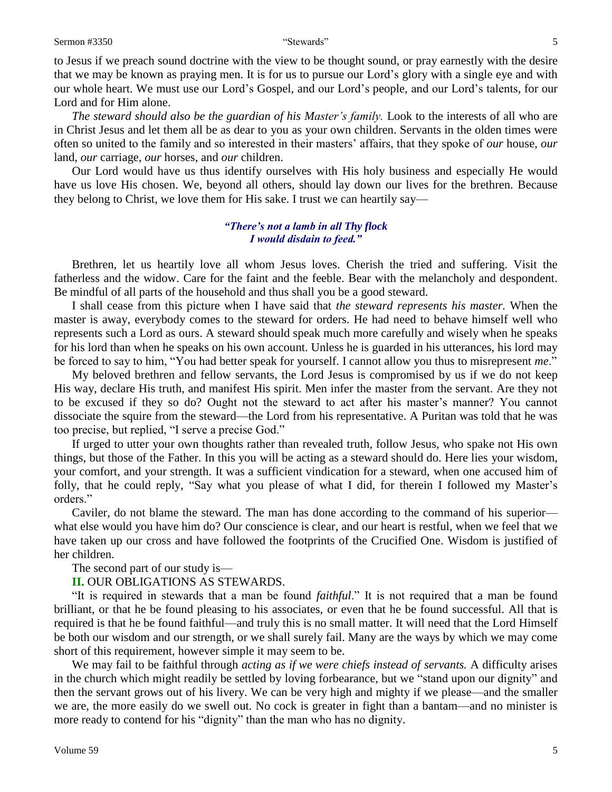to Jesus if we preach sound doctrine with the view to be thought sound, or pray earnestly with the desire that we may be known as praying men. It is for us to pursue our Lord's glory with a single eye and with our whole heart. We must use our Lord's Gospel, and our Lord's people, and our Lord's talents, for our Lord and for Him alone.

*The steward should also be the guardian of his Master's family.* Look to the interests of all who are in Christ Jesus and let them all be as dear to you as your own children. Servants in the olden times were often so united to the family and so interested in their masters' affairs, that they spoke of *our* house, *our*  land, *our* carriage, *our* horses, and *our* children.

Our Lord would have us thus identify ourselves with His holy business and especially He would have us love His chosen. We, beyond all others, should lay down our lives for the brethren. Because they belong to Christ, we love them for His sake. I trust we can heartily say—

## *"There's not a lamb in all Thy flock I would disdain to feed."*

Brethren, let us heartily love all whom Jesus loves. Cherish the tried and suffering. Visit the fatherless and the widow. Care for the faint and the feeble. Bear with the melancholy and despondent. Be mindful of all parts of the household and thus shall you be a good steward.

I shall cease from this picture when I have said that *the steward represents his master.* When the master is away, everybody comes to the steward for orders. He had need to behave himself well who represents such a Lord as ours. A steward should speak much more carefully and wisely when he speaks for his lord than when he speaks on his own account. Unless he is guarded in his utterances, his lord may be forced to say to him, "You had better speak for yourself. I cannot allow you thus to misrepresent *me*."

My beloved brethren and fellow servants, the Lord Jesus is compromised by us if we do not keep His way, declare His truth, and manifest His spirit. Men infer the master from the servant. Are they not to be excused if they so do? Ought not the steward to act after his master's manner? You cannot dissociate the squire from the steward—the Lord from his representative. A Puritan was told that he was too precise, but replied, "I serve a precise God."

If urged to utter your own thoughts rather than revealed truth, follow Jesus, who spake not His own things, but those of the Father. In this you will be acting as a steward should do. Here lies your wisdom, your comfort, and your strength. It was a sufficient vindication for a steward, when one accused him of folly, that he could reply, "Say what you please of what I did, for therein I followed my Master's orders."

Caviler, do not blame the steward. The man has done according to the command of his superior what else would you have him do? Our conscience is clear, and our heart is restful, when we feel that we have taken up our cross and have followed the footprints of the Crucified One. Wisdom is justified of her children.

The second part of our study is—

### **II.** OUR OBLIGATIONS AS STEWARDS.

"It is required in stewards that a man be found *faithful*." It is not required that a man be found brilliant, or that he be found pleasing to his associates, or even that he be found successful. All that is required is that he be found faithful—and truly this is no small matter. It will need that the Lord Himself be both our wisdom and our strength, or we shall surely fail. Many are the ways by which we may come short of this requirement, however simple it may seem to be.

We may fail to be faithful through *acting as if we were chiefs instead of servants.* A difficulty arises in the church which might readily be settled by loving forbearance, but we "stand upon our dignity" and then the servant grows out of his livery. We can be very high and mighty if we please—and the smaller we are, the more easily do we swell out. No cock is greater in fight than a bantam—and no minister is more ready to contend for his "dignity" than the man who has no dignity.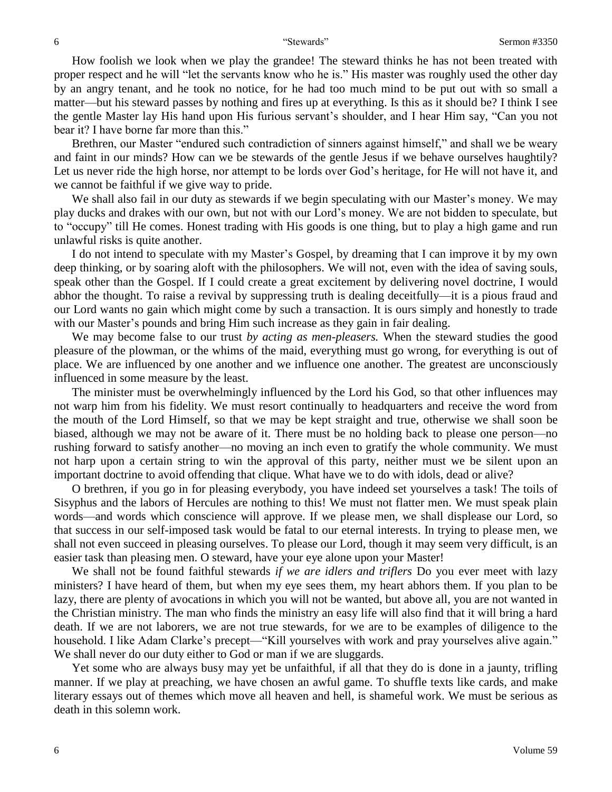How foolish we look when we play the grandee! The steward thinks he has not been treated with proper respect and he will "let the servants know who he is." His master was roughly used the other day by an angry tenant, and he took no notice, for he had too much mind to be put out with so small a matter—but his steward passes by nothing and fires up at everything. Is this as it should be? I think I see the gentle Master lay His hand upon His furious servant's shoulder, and I hear Him say, "Can you not bear it? I have borne far more than this."

Brethren, our Master "endured such contradiction of sinners against himself," and shall we be weary and faint in our minds? How can we be stewards of the gentle Jesus if we behave ourselves haughtily? Let us never ride the high horse, nor attempt to be lords over God's heritage, for He will not have it, and we cannot be faithful if we give way to pride.

We shall also fail in our duty as stewards if we begin speculating with our Master's money. We may play ducks and drakes with our own, but not with our Lord's money. We are not bidden to speculate, but to "occupy" till He comes. Honest trading with His goods is one thing, but to play a high game and run unlawful risks is quite another.

I do not intend to speculate with my Master's Gospel, by dreaming that I can improve it by my own deep thinking, or by soaring aloft with the philosophers. We will not, even with the idea of saving souls, speak other than the Gospel. If I could create a great excitement by delivering novel doctrine, I would abhor the thought. To raise a revival by suppressing truth is dealing deceitfully—it is a pious fraud and our Lord wants no gain which might come by such a transaction. It is ours simply and honestly to trade with our Master's pounds and bring Him such increase as they gain in fair dealing.

We may become false to our trust *by acting as men-pleasers.* When the steward studies the good pleasure of the plowman, or the whims of the maid, everything must go wrong, for everything is out of place. We are influenced by one another and we influence one another. The greatest are unconsciously influenced in some measure by the least.

The minister must be overwhelmingly influenced by the Lord his God, so that other influences may not warp him from his fidelity. We must resort continually to headquarters and receive the word from the mouth of the Lord Himself, so that we may be kept straight and true, otherwise we shall soon be biased, although we may not be aware of it. There must be no holding back to please one person—no rushing forward to satisfy another—no moving an inch even to gratify the whole community. We must not harp upon a certain string to win the approval of this party, neither must we be silent upon an important doctrine to avoid offending that clique. What have we to do with idols, dead or alive?

O brethren, if you go in for pleasing everybody, you have indeed set yourselves a task! The toils of Sisyphus and the labors of Hercules are nothing to this! We must not flatter men. We must speak plain words—and words which conscience will approve. If we please men, we shall displease our Lord, so that success in our self-imposed task would be fatal to our eternal interests. In trying to please men, we shall not even succeed in pleasing ourselves. To please our Lord, though it may seem very difficult, is an easier task than pleasing men. O steward, have your eye alone upon your Master!

We shall not be found faithful stewards *if we are idlers and triflers* Do you ever meet with lazy ministers? I have heard of them, but when my eye sees them, my heart abhors them. If you plan to be lazy, there are plenty of avocations in which you will not be wanted, but above all, you are not wanted in the Christian ministry. The man who finds the ministry an easy life will also find that it will bring a hard death. If we are not laborers, we are not true stewards, for we are to be examples of diligence to the household. I like Adam Clarke's precept—"Kill yourselves with work and pray yourselves alive again." We shall never do our duty either to God or man if we are sluggards.

Yet some who are always busy may yet be unfaithful, if all that they do is done in a jaunty, trifling manner. If we play at preaching, we have chosen an awful game. To shuffle texts like cards, and make literary essays out of themes which move all heaven and hell, is shameful work. We must be serious as death in this solemn work.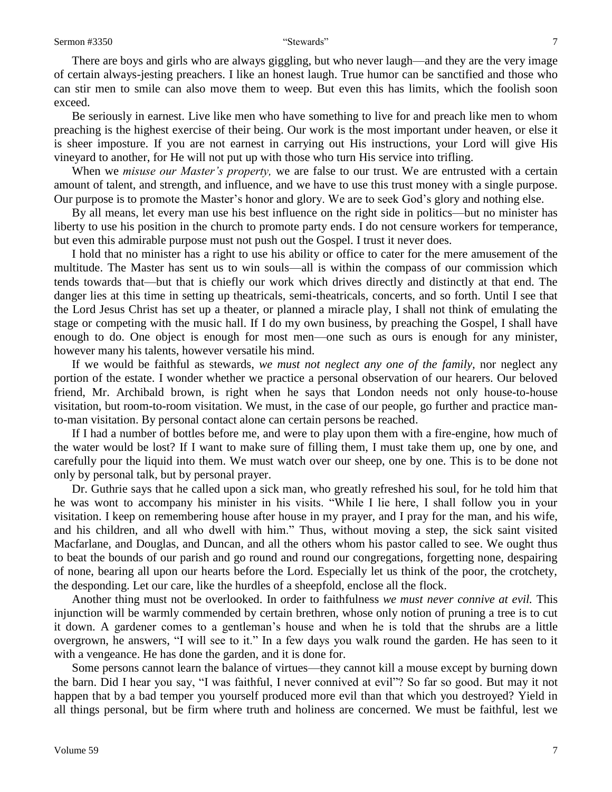There are boys and girls who are always giggling, but who never laugh—and they are the very image of certain always-jesting preachers. I like an honest laugh. True humor can be sanctified and those who can stir men to smile can also move them to weep. But even this has limits, which the foolish soon exceed.

Be seriously in earnest. Live like men who have something to live for and preach like men to whom preaching is the highest exercise of their being. Our work is the most important under heaven, or else it is sheer imposture. If you are not earnest in carrying out His instructions, your Lord will give His vineyard to another, for He will not put up with those who turn His service into trifling.

When we *misuse our Master's property,* we are false to our trust. We are entrusted with a certain amount of talent, and strength, and influence, and we have to use this trust money with a single purpose. Our purpose is to promote the Master's honor and glory. We are to seek God's glory and nothing else.

By all means, let every man use his best influence on the right side in politics—but no minister has liberty to use his position in the church to promote party ends. I do not censure workers for temperance, but even this admirable purpose must not push out the Gospel. I trust it never does.

I hold that no minister has a right to use his ability or office to cater for the mere amusement of the multitude. The Master has sent us to win souls—all is within the compass of our commission which tends towards that—but that is chiefly our work which drives directly and distinctly at that end. The danger lies at this time in setting up theatricals, semi-theatricals, concerts, and so forth. Until I see that the Lord Jesus Christ has set up a theater, or planned a miracle play, I shall not think of emulating the stage or competing with the music hall. If I do my own business, by preaching the Gospel, I shall have enough to do. One object is enough for most men—one such as ours is enough for any minister, however many his talents, however versatile his mind.

If we would be faithful as stewards, *we must not neglect any one of the family,* nor neglect any portion of the estate. I wonder whether we practice a personal observation of our hearers. Our beloved friend, Mr. Archibald brown, is right when he says that London needs not only house-to-house visitation, but room-to-room visitation. We must, in the case of our people, go further and practice manto-man visitation. By personal contact alone can certain persons be reached.

If I had a number of bottles before me, and were to play upon them with a fire-engine, how much of the water would be lost? If I want to make sure of filling them, I must take them up, one by one, and carefully pour the liquid into them. We must watch over our sheep, one by one. This is to be done not only by personal talk, but by personal prayer.

Dr. Guthrie says that he called upon a sick man, who greatly refreshed his soul, for he told him that he was wont to accompany his minister in his visits. "While I lie here, I shall follow you in your visitation. I keep on remembering house after house in my prayer, and I pray for the man, and his wife, and his children, and all who dwell with him." Thus, without moving a step, the sick saint visited Macfarlane, and Douglas, and Duncan, and all the others whom his pastor called to see. We ought thus to beat the bounds of our parish and go round and round our congregations, forgetting none, despairing of none, bearing all upon our hearts before the Lord. Especially let us think of the poor, the crotchety, the desponding. Let our care, like the hurdles of a sheepfold, enclose all the flock.

Another thing must not be overlooked. In order to faithfulness *we must never connive at evil.* This injunction will be warmly commended by certain brethren, whose only notion of pruning a tree is to cut it down. A gardener comes to a gentleman's house and when he is told that the shrubs are a little overgrown, he answers, "I will see to it." In a few days you walk round the garden. He has seen to it with a vengeance. He has done the garden, and it is done for.

Some persons cannot learn the balance of virtues—they cannot kill a mouse except by burning down the barn. Did I hear you say, "I was faithful, I never connived at evil"? So far so good. But may it not happen that by a bad temper you yourself produced more evil than that which you destroyed? Yield in all things personal, but be firm where truth and holiness are concerned. We must be faithful, lest we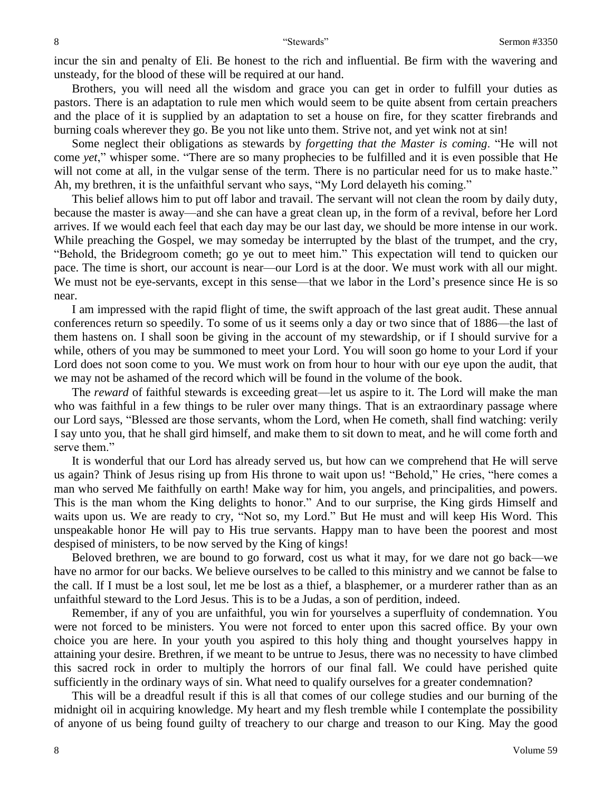incur the sin and penalty of Eli. Be honest to the rich and influential. Be firm with the wavering and unsteady, for the blood of these will be required at our hand.

Brothers, you will need all the wisdom and grace you can get in order to fulfill your duties as pastors. There is an adaptation to rule men which would seem to be quite absent from certain preachers and the place of it is supplied by an adaptation to set a house on fire, for they scatter firebrands and burning coals wherever they go. Be you not like unto them. Strive not, and yet wink not at sin!

Some neglect their obligations as stewards by *forgetting that the Master is coming*. "He will not come *yet*," whisper some. "There are so many prophecies to be fulfilled and it is even possible that He will not come at all, in the vulgar sense of the term. There is no particular need for us to make haste." Ah, my brethren, it is the unfaithful servant who says, "My Lord delayeth his coming."

This belief allows him to put off labor and travail. The servant will not clean the room by daily duty, because the master is away—and she can have a great clean up, in the form of a revival, before her Lord arrives. If we would each feel that each day may be our last day, we should be more intense in our work. While preaching the Gospel, we may someday be interrupted by the blast of the trumpet, and the cry, "Behold, the Bridegroom cometh; go ye out to meet him." This expectation will tend to quicken our pace. The time is short, our account is near—our Lord is at the door. We must work with all our might. We must not be eye-servants, except in this sense—that we labor in the Lord's presence since He is so near.

I am impressed with the rapid flight of time, the swift approach of the last great audit. These annual conferences return so speedily. To some of us it seems only a day or two since that of 1886—the last of them hastens on. I shall soon be giving in the account of my stewardship, or if I should survive for a while, others of you may be summoned to meet your Lord. You will soon go home to your Lord if your Lord does not soon come to you. We must work on from hour to hour with our eye upon the audit, that we may not be ashamed of the record which will be found in the volume of the book.

The *reward* of faithful stewards is exceeding great—let us aspire to it. The Lord will make the man who was faithful in a few things to be ruler over many things. That is an extraordinary passage where our Lord says, "Blessed are those servants, whom the Lord, when He cometh, shall find watching: verily I say unto you, that he shall gird himself, and make them to sit down to meat, and he will come forth and serve them."

It is wonderful that our Lord has already served us, but how can we comprehend that He will serve us again? Think of Jesus rising up from His throne to wait upon us! "Behold*,*" He cries, "here comes a man who served Me faithfully on earth! Make way for him, you angels, and principalities, and powers. This is the man whom the King delights to honor." And to our surprise, the King girds Himself and waits upon us. We are ready to cry, "Not so, my Lord." But He must and will keep His Word. This unspeakable honor He will pay to His true servants. Happy man to have been the poorest and most despised of ministers, to be now served by the King of kings!

Beloved brethren, we are bound to go forward, cost us what it may, for we dare not go back—we have no armor for our backs. We believe ourselves to be called to this ministry and we cannot be false to the call. If I must be a lost soul, let me be lost as a thief, a blasphemer, or a murderer rather than as an unfaithful steward to the Lord Jesus. This is to be a Judas, a son of perdition, indeed.

Remember, if any of you are unfaithful, you win for yourselves a superfluity of condemnation. You were not forced to be ministers. You were not forced to enter upon this sacred office. By your own choice you are here. In your youth you aspired to this holy thing and thought yourselves happy in attaining your desire. Brethren, if we meant to be untrue to Jesus, there was no necessity to have climbed this sacred rock in order to multiply the horrors of our final fall. We could have perished quite sufficiently in the ordinary ways of sin. What need to qualify ourselves for a greater condemnation?

This will be a dreadful result if this is all that comes of our college studies and our burning of the midnight oil in acquiring knowledge. My heart and my flesh tremble while I contemplate the possibility of anyone of us being found guilty of treachery to our charge and treason to our King. May the good